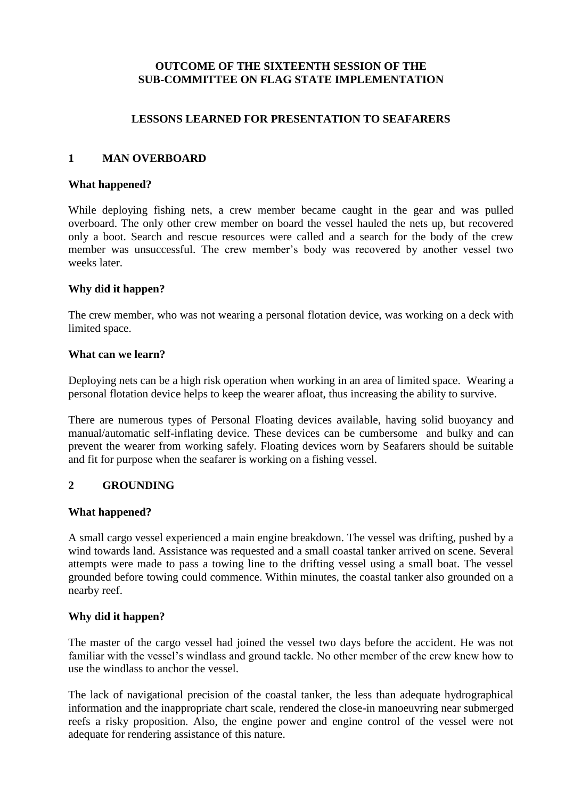### **OUTCOME OF THE SIXTEENTH SESSION OF THE SUB-COMMITTEE ON FLAG STATE IMPLEMENTATION**

## **LESSONS LEARNED FOR PRESENTATION TO SEAFARERS**

## **1 MAN OVERBOARD**

### **What happened?**

While deploying fishing nets, a crew member became caught in the gear and was pulled overboard. The only other crew member on board the vessel hauled the nets up, but recovered only a boot. Search and rescue resources were called and a search for the body of the crew member was unsuccessful. The crew member's body was recovered by another vessel two weeks later.

### **Why did it happen?**

The crew member, who was not wearing a personal flotation device, was working on a deck with limited space.

### **What can we learn?**

Deploying nets can be a high risk operation when working in an area of limited space. Wearing a personal flotation device helps to keep the wearer afloat, thus increasing the ability to survive.

There are numerous types of Personal Floating devices available, having solid buoyancy and manual/automatic self-inflating device. These devices can be cumbersome and bulky and can prevent the wearer from working safely. Floating devices worn by Seafarers should be suitable and fit for purpose when the seafarer is working on a fishing vessel.

## **2 GROUNDING**

### **What happened?**

A small cargo vessel experienced a main engine breakdown. The vessel was drifting, pushed by a wind towards land. Assistance was requested and a small coastal tanker arrived on scene. Several attempts were made to pass a towing line to the drifting vessel using a small boat. The vessel grounded before towing could commence. Within minutes, the coastal tanker also grounded on a nearby reef.

### **Why did it happen?**

The master of the cargo vessel had joined the vessel two days before the accident. He was not familiar with the vessel's windlass and ground tackle. No other member of the crew knew how to use the windlass to anchor the vessel.

The lack of navigational precision of the coastal tanker, the less than adequate hydrographical information and the inappropriate chart scale, rendered the close-in manoeuvring near submerged reefs a risky proposition. Also, the engine power and engine control of the vessel were not adequate for rendering assistance of this nature.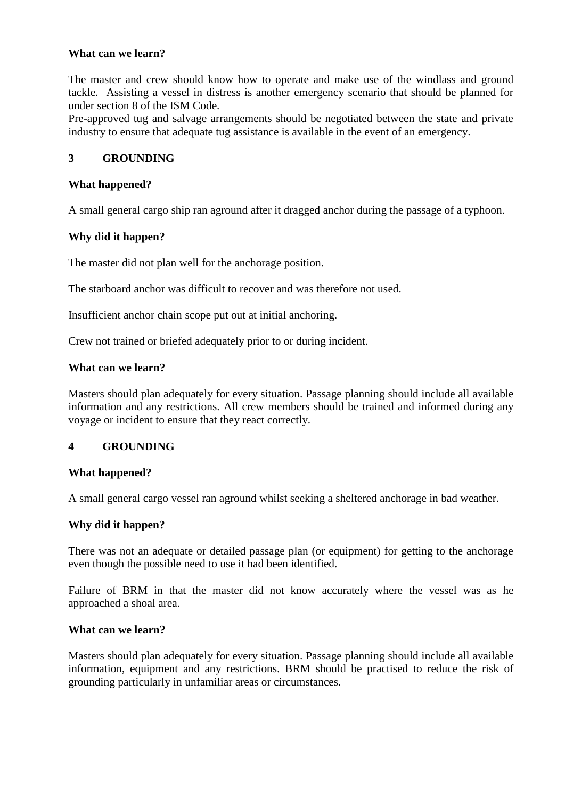The master and crew should know how to operate and make use of the windlass and ground tackle. Assisting a vessel in distress is another emergency scenario that should be planned for under section 8 of the ISM Code.

Pre-approved tug and salvage arrangements should be negotiated between the state and private industry to ensure that adequate tug assistance is available in the event of an emergency.

### **3 GROUNDING**

### **What happened?**

A small general cargo ship ran aground after it dragged anchor during the passage of a typhoon.

### **Why did it happen?**

The master did not plan well for the anchorage position.

The starboard anchor was difficult to recover and was therefore not used.

Insufficient anchor chain scope put out at initial anchoring.

Crew not trained or briefed adequately prior to or during incident.

#### **What can we learn?**

Masters should plan adequately for every situation. Passage planning should include all available information and any restrictions. All crew members should be trained and informed during any voyage or incident to ensure that they react correctly.

### **4 GROUNDING**

### **What happened?**

A small general cargo vessel ran aground whilst seeking a sheltered anchorage in bad weather.

### **Why did it happen?**

There was not an adequate or detailed passage plan (or equipment) for getting to the anchorage even though the possible need to use it had been identified.

Failure of BRM in that the master did not know accurately where the vessel was as he approached a shoal area.

### **What can we learn?**

Masters should plan adequately for every situation. Passage planning should include all available information, equipment and any restrictions. BRM should be practised to reduce the risk of grounding particularly in unfamiliar areas or circumstances.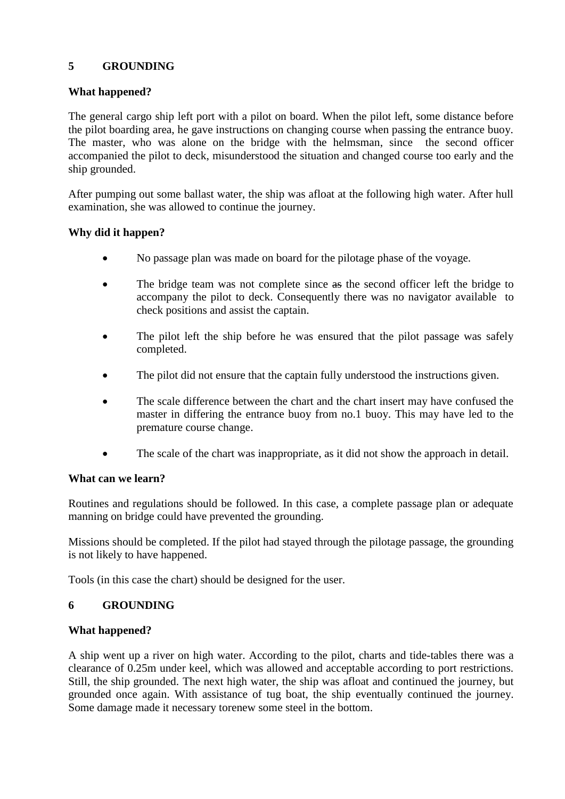## **5 GROUNDING**

## **What happened?**

The general cargo ship left port with a pilot on board. When the pilot left, some distance before the pilot boarding area, he gave instructions on changing course when passing the entrance buoy. The master, who was alone on the bridge with the helmsman, since the second officer accompanied the pilot to deck, misunderstood the situation and changed course too early and the ship grounded.

After pumping out some ballast water, the ship was afloat at the following high water. After hull examination, she was allowed to continue the journey.

## **Why did it happen?**

- No passage plan was made on board for the pilotage phase of the voyage.
- The bridge team was not complete since as the second officer left the bridge to accompany the pilot to deck. Consequently there was no navigator available to check positions and assist the captain.
- The pilot left the ship before he was ensured that the pilot passage was safely completed.
- The pilot did not ensure that the captain fully understood the instructions given.
- The scale difference between the chart and the chart insert may have confused the master in differing the entrance buoy from no.1 buoy. This may have led to the premature course change.
- The scale of the chart was inappropriate, as it did not show the approach in detail.

### **What can we learn?**

Routines and regulations should be followed. In this case, a complete passage plan or adequate manning on bridge could have prevented the grounding.

Missions should be completed. If the pilot had stayed through the pilotage passage, the grounding is not likely to have happened.

Tools (in this case the chart) should be designed for the user.

### **6 GROUNDING**

### **What happened?**

A ship went up a river on high water. According to the pilot, charts and tide-tables there was a clearance of 0.25m under keel, which was allowed and acceptable according to port restrictions. Still, the ship grounded. The next high water, the ship was afloat and continued the journey, but grounded once again. With assistance of tug boat, the ship eventually continued the journey. Some damage made it necessary torenew some steel in the bottom.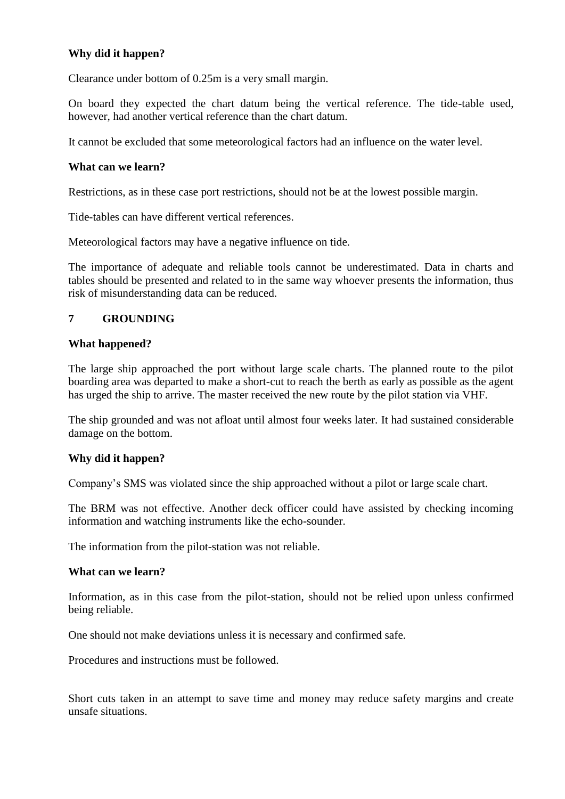## **Why did it happen?**

Clearance under bottom of 0.25m is a very small margin.

On board they expected the chart datum being the vertical reference. The tide-table used, however, had another vertical reference than the chart datum.

It cannot be excluded that some meteorological factors had an influence on the water level.

### **What can we learn?**

Restrictions, as in these case port restrictions, should not be at the lowest possible margin.

Tide-tables can have different vertical references.

Meteorological factors may have a negative influence on tide.

The importance of adequate and reliable tools cannot be underestimated. Data in charts and tables should be presented and related to in the same way whoever presents the information, thus risk of misunderstanding data can be reduced.

## **7 GROUNDING**

### **What happened?**

The large ship approached the port without large scale charts. The planned route to the pilot boarding area was departed to make a short-cut to reach the berth as early as possible as the agent has urged the ship to arrive. The master received the new route by the pilot station via VHF.

The ship grounded and was not afloat until almost four weeks later. It had sustained considerable damage on the bottom.

## **Why did it happen?**

Company"s SMS was violated since the ship approached without a pilot or large scale chart.

The BRM was not effective. Another deck officer could have assisted by checking incoming information and watching instruments like the echo-sounder.

The information from the pilot-station was not reliable.

### **What can we learn?**

Information, as in this case from the pilot-station, should not be relied upon unless confirmed being reliable.

One should not make deviations unless it is necessary and confirmed safe.

Procedures and instructions must be followed.

Short cuts taken in an attempt to save time and money may reduce safety margins and create unsafe situations.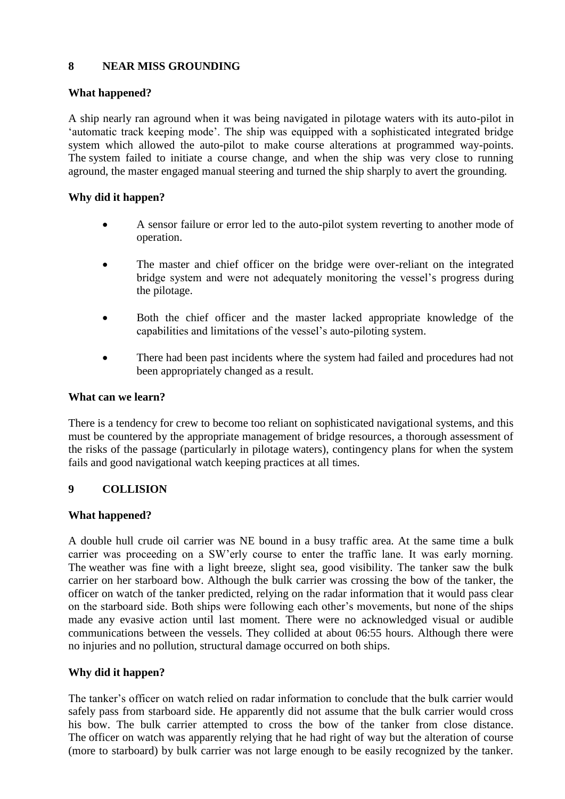## **8 NEAR MISS GROUNDING**

### **What happened?**

A ship nearly ran aground when it was being navigated in pilotage waters with its auto-pilot in "automatic track keeping mode". The ship was equipped with a sophisticated integrated bridge system which allowed the auto-pilot to make course alterations at programmed way-points. The system failed to initiate a course change, and when the ship was very close to running aground, the master engaged manual steering and turned the ship sharply to avert the grounding.

### **Why did it happen?**

- A sensor failure or error led to the auto-pilot system reverting to another mode of operation.
- The master and chief officer on the bridge were over-reliant on the integrated bridge system and were not adequately monitoring the vessel"s progress during the pilotage.
- Both the chief officer and the master lacked appropriate knowledge of the capabilities and limitations of the vessel"s auto-piloting system.
- There had been past incidents where the system had failed and procedures had not been appropriately changed as a result.

### **What can we learn?**

There is a tendency for crew to become too reliant on sophisticated navigational systems, and this must be countered by the appropriate management of bridge resources, a thorough assessment of the risks of the passage (particularly in pilotage waters), contingency plans for when the system fails and good navigational watch keeping practices at all times.

## **9 COLLISION**

### **What happened?**

A double hull crude oil carrier was NE bound in a busy traffic area. At the same time a bulk carrier was proceeding on a SW"erly course to enter the traffic lane. It was early morning. The weather was fine with a light breeze, slight sea, good visibility. The tanker saw the bulk carrier on her starboard bow. Although the bulk carrier was crossing the bow of the tanker, the officer on watch of the tanker predicted, relying on the radar information that it would pass clear on the starboard side. Both ships were following each other"s movements, but none of the ships made any evasive action until last moment. There were no acknowledged visual or audible communications between the vessels. They collided at about 06:55 hours. Although there were no injuries and no pollution, structural damage occurred on both ships.

## **Why did it happen?**

The tanker's officer on watch relied on radar information to conclude that the bulk carrier would safely pass from starboard side. He apparently did not assume that the bulk carrier would cross his bow. The bulk carrier attempted to cross the bow of the tanker from close distance. The officer on watch was apparently relying that he had right of way but the alteration of course (more to starboard) by bulk carrier was not large enough to be easily recognized by the tanker.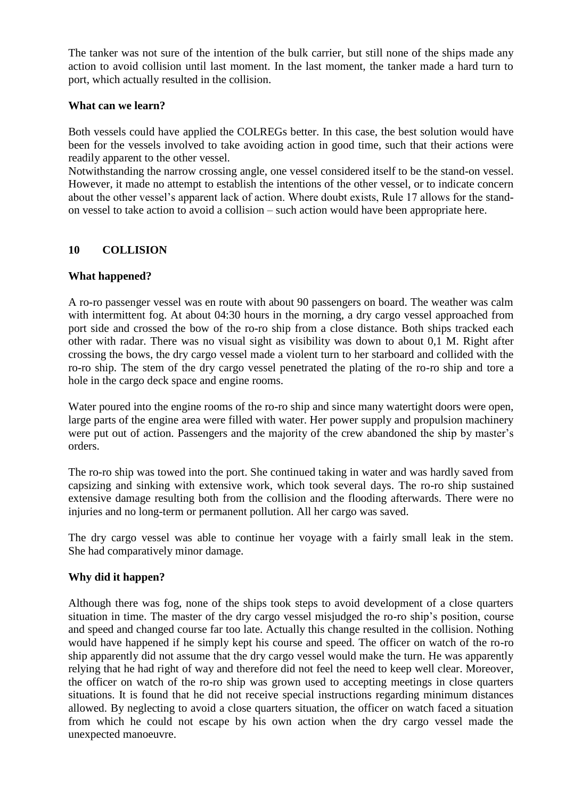The tanker was not sure of the intention of the bulk carrier, but still none of the ships made any action to avoid collision until last moment. In the last moment, the tanker made a hard turn to port, which actually resulted in the collision.

### **What can we learn?**

Both vessels could have applied the COLREGs better. In this case, the best solution would have been for the vessels involved to take avoiding action in good time, such that their actions were readily apparent to the other vessel.

Notwithstanding the narrow crossing angle, one vessel considered itself to be the stand-on vessel. However, it made no attempt to establish the intentions of the other vessel, or to indicate concern about the other vessel's apparent lack of action. Where doubt exists, Rule 17 allows for the standon vessel to take action to avoid a collision – such action would have been appropriate here.

## **10 COLLISION**

### **What happened?**

A ro-ro passenger vessel was en route with about 90 passengers on board. The weather was calm with intermittent fog. At about 04:30 hours in the morning, a dry cargo vessel approached from port side and crossed the bow of the ro-ro ship from a close distance. Both ships tracked each other with radar. There was no visual sight as visibility was down to about 0,1 M. Right after crossing the bows, the dry cargo vessel made a violent turn to her starboard and collided with the ro-ro ship. The stem of the dry cargo vessel penetrated the plating of the ro-ro ship and tore a hole in the cargo deck space and engine rooms.

Water poured into the engine rooms of the ro-ro ship and since many watertight doors were open, large parts of the engine area were filled with water. Her power supply and propulsion machinery were put out of action. Passengers and the majority of the crew abandoned the ship by master's orders.

The ro-ro ship was towed into the port. She continued taking in water and was hardly saved from capsizing and sinking with extensive work, which took several days. The ro-ro ship sustained extensive damage resulting both from the collision and the flooding afterwards. There were no injuries and no long-term or permanent pollution. All her cargo was saved.

The dry cargo vessel was able to continue her voyage with a fairly small leak in the stem. She had comparatively minor damage.

## **Why did it happen?**

Although there was fog, none of the ships took steps to avoid development of a close quarters situation in time. The master of the dry cargo vessel misjudged the ro-ro ship"s position, course and speed and changed course far too late. Actually this change resulted in the collision. Nothing would have happened if he simply kept his course and speed. The officer on watch of the ro-ro ship apparently did not assume that the dry cargo vessel would make the turn. He was apparently relying that he had right of way and therefore did not feel the need to keep well clear. Moreover, the officer on watch of the ro-ro ship was grown used to accepting meetings in close quarters situations. It is found that he did not receive special instructions regarding minimum distances allowed. By neglecting to avoid a close quarters situation, the officer on watch faced a situation from which he could not escape by his own action when the dry cargo vessel made the unexpected manoeuvre.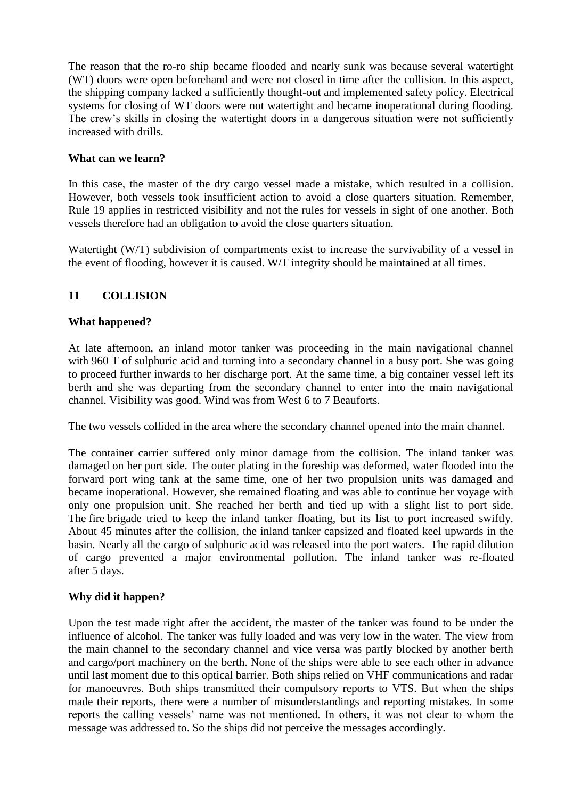The reason that the ro-ro ship became flooded and nearly sunk was because several watertight (WT) doors were open beforehand and were not closed in time after the collision. In this aspect, the shipping company lacked a sufficiently thought-out and implemented safety policy. Electrical systems for closing of WT doors were not watertight and became inoperational during flooding. The crew's skills in closing the watertight doors in a dangerous situation were not sufficiently increased with drills.

### **What can we learn?**

In this case, the master of the dry cargo vessel made a mistake, which resulted in a collision. However, both vessels took insufficient action to avoid a close quarters situation. Remember, Rule 19 applies in restricted visibility and not the rules for vessels in sight of one another. Both vessels therefore had an obligation to avoid the close quarters situation.

Watertight (W/T) subdivision of compartments exist to increase the survivability of a vessel in the event of flooding, however it is caused. W/T integrity should be maintained at all times.

## **11 COLLISION**

### **What happened?**

At late afternoon, an inland motor tanker was proceeding in the main navigational channel with 960 T of sulphuric acid and turning into a secondary channel in a busy port. She was going to proceed further inwards to her discharge port. At the same time, a big container vessel left its berth and she was departing from the secondary channel to enter into the main navigational channel. Visibility was good. Wind was from West 6 to 7 Beauforts.

The two vessels collided in the area where the secondary channel opened into the main channel.

The container carrier suffered only minor damage from the collision. The inland tanker was damaged on her port side. The outer plating in the foreship was deformed, water flooded into the forward port wing tank at the same time, one of her two propulsion units was damaged and became inoperational. However, she remained floating and was able to continue her voyage with only one propulsion unit. She reached her berth and tied up with a slight list to port side. The fire brigade tried to keep the inland tanker floating, but its list to port increased swiftly. About 45 minutes after the collision, the inland tanker capsized and floated keel upwards in the basin. Nearly all the cargo of sulphuric acid was released into the port waters. The rapid dilution of cargo prevented a major environmental pollution. The inland tanker was re-floated after 5 days.

### **Why did it happen?**

Upon the test made right after the accident, the master of the tanker was found to be under the influence of alcohol. The tanker was fully loaded and was very low in the water. The view from the main channel to the secondary channel and vice versa was partly blocked by another berth and cargo/port machinery on the berth. None of the ships were able to see each other in advance until last moment due to this optical barrier. Both ships relied on VHF communications and radar for manoeuvres. Both ships transmitted their compulsory reports to VTS. But when the ships made their reports, there were a number of misunderstandings and reporting mistakes. In some reports the calling vessels" name was not mentioned. In others, it was not clear to whom the message was addressed to. So the ships did not perceive the messages accordingly.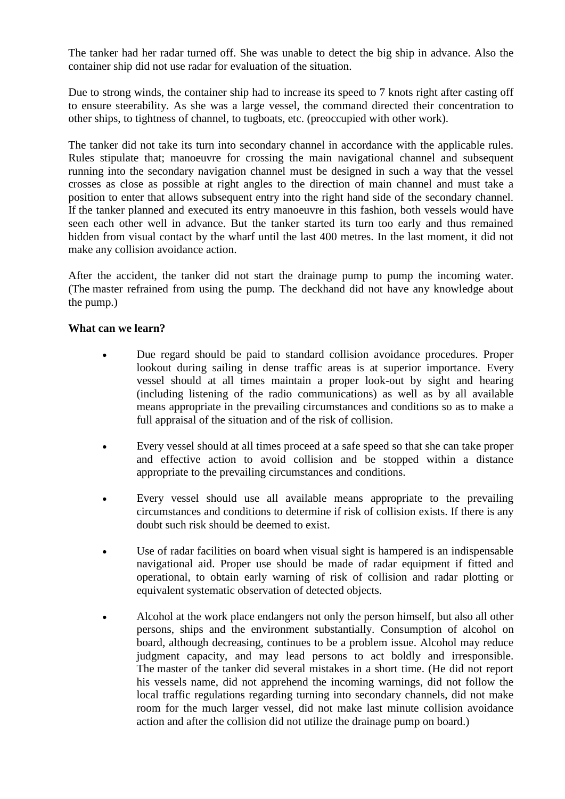The tanker had her radar turned off. She was unable to detect the big ship in advance. Also the container ship did not use radar for evaluation of the situation.

Due to strong winds, the container ship had to increase its speed to 7 knots right after casting off to ensure steerability. As she was a large vessel, the command directed their concentration to other ships, to tightness of channel, to tugboats, etc. (preoccupied with other work).

The tanker did not take its turn into secondary channel in accordance with the applicable rules. Rules stipulate that; manoeuvre for crossing the main navigational channel and subsequent running into the secondary navigation channel must be designed in such a way that the vessel crosses as close as possible at right angles to the direction of main channel and must take a position to enter that allows subsequent entry into the right hand side of the secondary channel. If the tanker planned and executed its entry manoeuvre in this fashion, both vessels would have seen each other well in advance. But the tanker started its turn too early and thus remained hidden from visual contact by the wharf until the last 400 metres. In the last moment, it did not make any collision avoidance action.

After the accident, the tanker did not start the drainage pump to pump the incoming water. (The master refrained from using the pump. The deckhand did not have any knowledge about the pump.)

### **What can we learn?**

- Due regard should be paid to standard collision avoidance procedures. Proper lookout during sailing in dense traffic areas is at superior importance. Every vessel should at all times maintain a proper look-out by sight and hearing (including listening of the radio communications) as well as by all available means appropriate in the prevailing circumstances and conditions so as to make a full appraisal of the situation and of the risk of collision.
- Every vessel should at all times proceed at a safe speed so that she can take proper and effective action to avoid collision and be stopped within a distance appropriate to the prevailing circumstances and conditions.
- Every vessel should use all available means appropriate to the prevailing circumstances and conditions to determine if risk of collision exists. If there is any doubt such risk should be deemed to exist.
- Use of radar facilities on board when visual sight is hampered is an indispensable navigational aid. Proper use should be made of radar equipment if fitted and operational, to obtain early warning of risk of collision and radar plotting or equivalent systematic observation of detected objects.
- Alcohol at the work place endangers not only the person himself, but also all other persons, ships and the environment substantially. Consumption of alcohol on board, although decreasing, continues to be a problem issue. Alcohol may reduce judgment capacity, and may lead persons to act boldly and irresponsible. The master of the tanker did several mistakes in a short time. (He did not report his vessels name, did not apprehend the incoming warnings, did not follow the local traffic regulations regarding turning into secondary channels, did not make room for the much larger vessel, did not make last minute collision avoidance action and after the collision did not utilize the drainage pump on board.)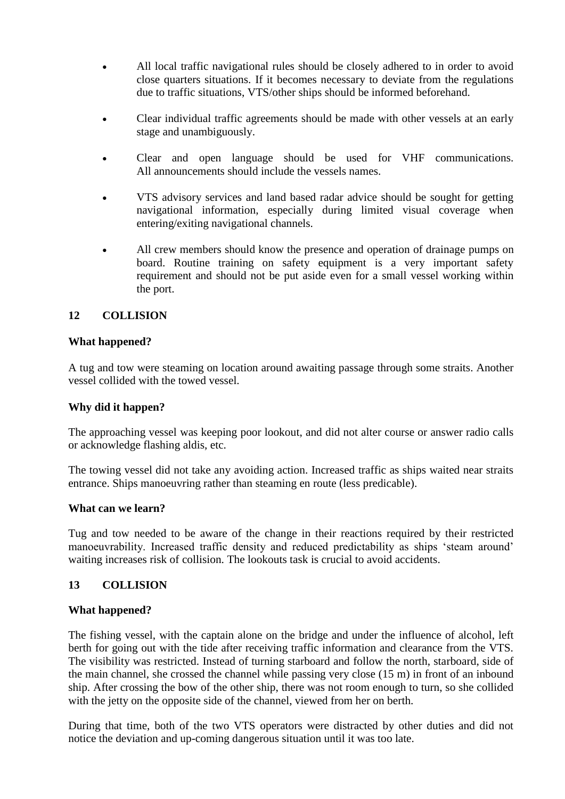- All local traffic navigational rules should be closely adhered to in order to avoid close quarters situations. If it becomes necessary to deviate from the regulations due to traffic situations, VTS/other ships should be informed beforehand.
- Clear individual traffic agreements should be made with other vessels at an early stage and unambiguously.
- Clear and open language should be used for VHF communications. All announcements should include the vessels names.
- VTS advisory services and land based radar advice should be sought for getting navigational information, especially during limited visual coverage when entering/exiting navigational channels.
- All crew members should know the presence and operation of drainage pumps on board. Routine training on safety equipment is a very important safety requirement and should not be put aside even for a small vessel working within the port.

## **12 COLLISION**

### **What happened?**

A tug and tow were steaming on location around awaiting passage through some straits. Another vessel collided with the towed vessel.

### **Why did it happen?**

The approaching vessel was keeping poor lookout, and did not alter course or answer radio calls or acknowledge flashing aldis, etc.

The towing vessel did not take any avoiding action. Increased traffic as ships waited near straits entrance. Ships manoeuvring rather than steaming en route (less predicable).

### **What can we learn?**

Tug and tow needed to be aware of the change in their reactions required by their restricted manoeuvrability. Increased traffic density and reduced predictability as ships "steam around" waiting increases risk of collision. The lookouts task is crucial to avoid accidents.

### **13 COLLISION**

### **What happened?**

The fishing vessel, with the captain alone on the bridge and under the influence of alcohol, left berth for going out with the tide after receiving traffic information and clearance from the VTS. The visibility was restricted. Instead of turning starboard and follow the north, starboard, side of the main channel, she crossed the channel while passing very close (15 m) in front of an inbound ship. After crossing the bow of the other ship, there was not room enough to turn, so she collided with the jetty on the opposite side of the channel, viewed from her on berth.

During that time, both of the two VTS operators were distracted by other duties and did not notice the deviation and up-coming dangerous situation until it was too late.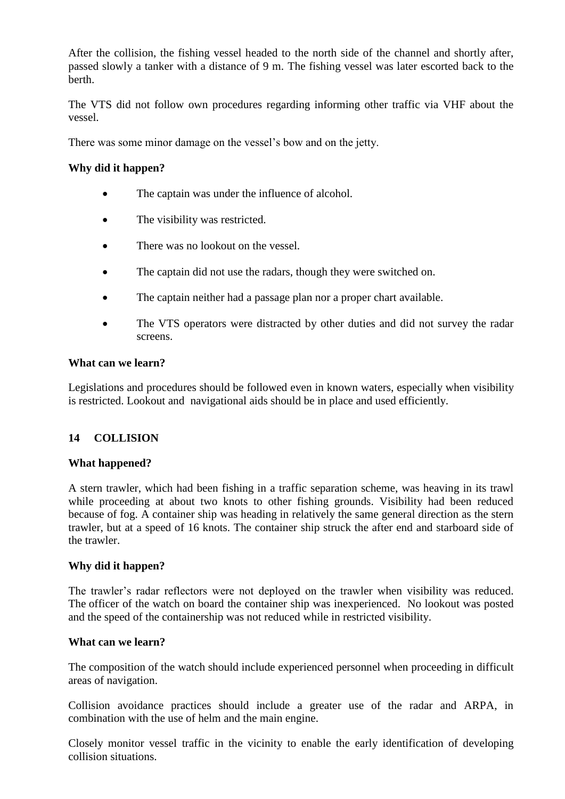After the collision, the fishing vessel headed to the north side of the channel and shortly after, passed slowly a tanker with a distance of 9 m. The fishing vessel was later escorted back to the berth.

The VTS did not follow own procedures regarding informing other traffic via VHF about the vessel.

There was some minor damage on the vessel"s bow and on the jetty.

### **Why did it happen?**

- The captain was under the influence of alcohol.
- The visibility was restricted.
- There was no lookout on the vessel.
- The captain did not use the radars, though they were switched on.
- The captain neither had a passage plan nor a proper chart available.
- The VTS operators were distracted by other duties and did not survey the radar screens.

#### **What can we learn?**

Legislations and procedures should be followed even in known waters, especially when visibility is restricted. Lookout and navigational aids should be in place and used efficiently.

### **14 COLLISION**

### **What happened?**

A stern trawler, which had been fishing in a traffic separation scheme, was heaving in its trawl while proceeding at about two knots to other fishing grounds. Visibility had been reduced because of fog. A container ship was heading in relatively the same general direction as the stern trawler, but at a speed of 16 knots. The container ship struck the after end and starboard side of the trawler.

### **Why did it happen?**

The trawler"s radar reflectors were not deployed on the trawler when visibility was reduced. The officer of the watch on board the container ship was inexperienced. No lookout was posted and the speed of the containership was not reduced while in restricted visibility.

### **What can we learn?**

The composition of the watch should include experienced personnel when proceeding in difficult areas of navigation.

Collision avoidance practices should include a greater use of the radar and ARPA, in combination with the use of helm and the main engine.

Closely monitor vessel traffic in the vicinity to enable the early identification of developing collision situations.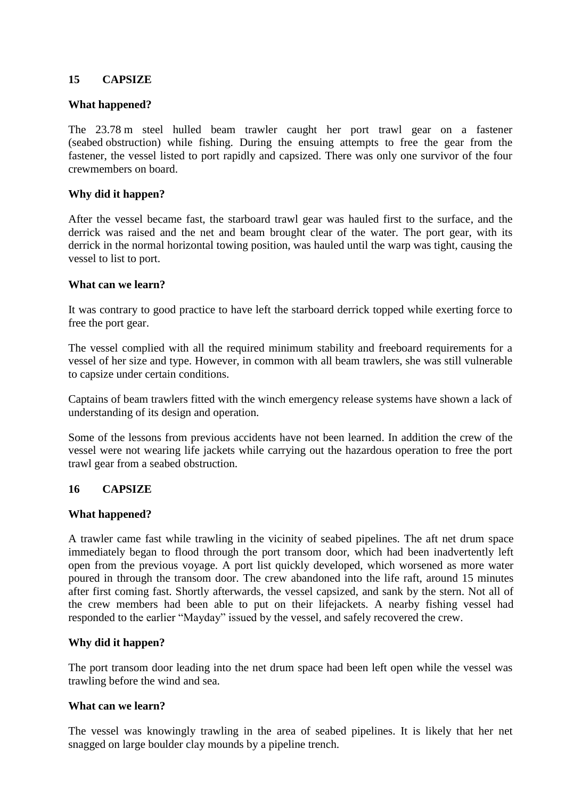### **15 CAPSIZE**

### **What happened?**

The 23.78 m steel hulled beam trawler caught her port trawl gear on a fastener (seabed obstruction) while fishing. During the ensuing attempts to free the gear from the fastener, the vessel listed to port rapidly and capsized. There was only one survivor of the four crewmembers on board.

### **Why did it happen?**

After the vessel became fast, the starboard trawl gear was hauled first to the surface, and the derrick was raised and the net and beam brought clear of the water. The port gear, with its derrick in the normal horizontal towing position, was hauled until the warp was tight, causing the vessel to list to port.

### **What can we learn?**

It was contrary to good practice to have left the starboard derrick topped while exerting force to free the port gear.

The vessel complied with all the required minimum stability and freeboard requirements for a vessel of her size and type. However, in common with all beam trawlers, she was still vulnerable to capsize under certain conditions.

Captains of beam trawlers fitted with the winch emergency release systems have shown a lack of understanding of its design and operation.

Some of the lessons from previous accidents have not been learned. In addition the crew of the vessel were not wearing life jackets while carrying out the hazardous operation to free the port trawl gear from a seabed obstruction.

## **16 CAPSIZE**

### **What happened?**

A trawler came fast while trawling in the vicinity of seabed pipelines. The aft net drum space immediately began to flood through the port transom door, which had been inadvertently left open from the previous voyage. A port list quickly developed, which worsened as more water poured in through the transom door. The crew abandoned into the life raft, around 15 minutes after first coming fast. Shortly afterwards, the vessel capsized, and sank by the stern. Not all of the crew members had been able to put on their lifejackets. A nearby fishing vessel had responded to the earlier "Mayday" issued by the vessel, and safely recovered the crew.

### **Why did it happen?**

The port transom door leading into the net drum space had been left open while the vessel was trawling before the wind and sea.

### **What can we learn?**

The vessel was knowingly trawling in the area of seabed pipelines. It is likely that her net snagged on large boulder clay mounds by a pipeline trench.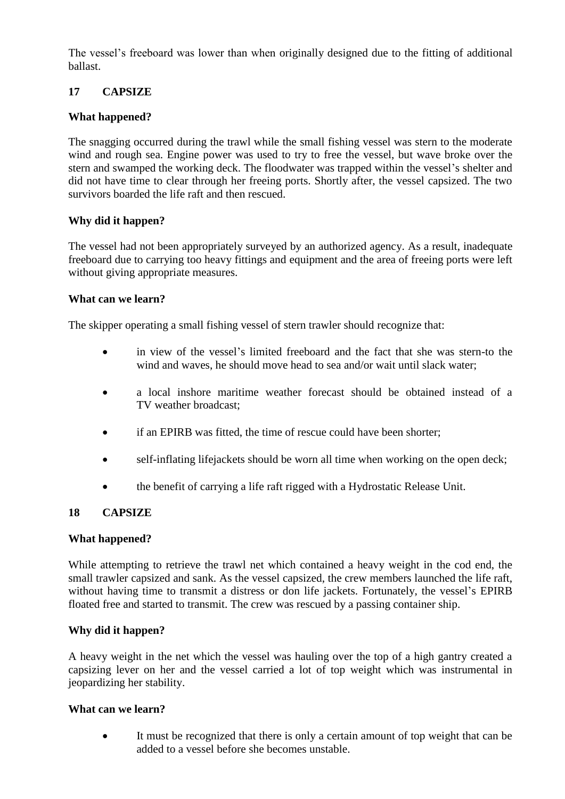The vessel's freeboard was lower than when originally designed due to the fitting of additional ballast.

# **17 CAPSIZE**

## **What happened?**

The snagging occurred during the trawl while the small fishing vessel was stern to the moderate wind and rough sea. Engine power was used to try to free the vessel, but wave broke over the stern and swamped the working deck. The floodwater was trapped within the vessel"s shelter and did not have time to clear through her freeing ports. Shortly after, the vessel capsized. The two survivors boarded the life raft and then rescued.

## **Why did it happen?**

The vessel had not been appropriately surveyed by an authorized agency. As a result, inadequate freeboard due to carrying too heavy fittings and equipment and the area of freeing ports were left without giving appropriate measures.

### **What can we learn?**

The skipper operating a small fishing vessel of stern trawler should recognize that:

- in view of the vessel"s limited freeboard and the fact that she was stern-to the wind and waves, he should move head to sea and/or wait until slack water;
- a local inshore maritime weather forecast should be obtained instead of a TV weather broadcast;
- if an EPIRB was fitted, the time of rescue could have been shorter;
- self-inflating lifejackets should be worn all time when working on the open deck;
- the benefit of carrying a life raft rigged with a Hydrostatic Release Unit.

### **18 CAPSIZE**

### **What happened?**

While attempting to retrieve the trawl net which contained a heavy weight in the cod end, the small trawler capsized and sank. As the vessel capsized, the crew members launched the life raft, without having time to transmit a distress or don life jackets. Fortunately, the vessel's EPIRB floated free and started to transmit. The crew was rescued by a passing container ship.

### **Why did it happen?**

A heavy weight in the net which the vessel was hauling over the top of a high gantry created a capsizing lever on her and the vessel carried a lot of top weight which was instrumental in jeopardizing her stability.

### **What can we learn?**

 It must be recognized that there is only a certain amount of top weight that can be added to a vessel before she becomes unstable.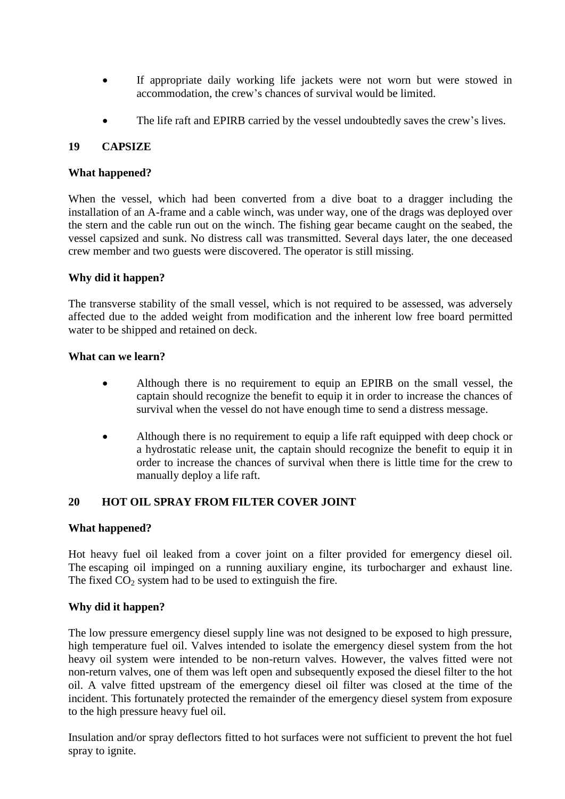- If appropriate daily working life jackets were not worn but were stowed in accommodation, the crew"s chances of survival would be limited.
- The life raft and EPIRB carried by the vessel undoubtedly saves the crew"s lives.

## **19 CAPSIZE**

### **What happened?**

When the vessel, which had been converted from a dive boat to a dragger including the installation of an A-frame and a cable winch, was under way, one of the drags was deployed over the stern and the cable run out on the winch. The fishing gear became caught on the seabed, the vessel capsized and sunk. No distress call was transmitted. Several days later, the one deceased crew member and two guests were discovered. The operator is still missing.

## **Why did it happen?**

The transverse stability of the small vessel, which is not required to be assessed, was adversely affected due to the added weight from modification and the inherent low free board permitted water to be shipped and retained on deck.

### **What can we learn?**

- Although there is no requirement to equip an EPIRB on the small vessel, the captain should recognize the benefit to equip it in order to increase the chances of survival when the vessel do not have enough time to send a distress message.
- Although there is no requirement to equip a life raft equipped with deep chock or a hydrostatic release unit, the captain should recognize the benefit to equip it in order to increase the chances of survival when there is little time for the crew to manually deploy a life raft.

## **20 HOT OIL SPRAY FROM FILTER COVER JOINT**

## **What happened?**

Hot heavy fuel oil leaked from a cover joint on a filter provided for emergency diesel oil. The escaping oil impinged on a running auxiliary engine, its turbocharger and exhaust line. The fixed  $CO<sub>2</sub>$  system had to be used to extinguish the fire.

## **Why did it happen?**

The low pressure emergency diesel supply line was not designed to be exposed to high pressure, high temperature fuel oil. Valves intended to isolate the emergency diesel system from the hot heavy oil system were intended to be non-return valves. However, the valves fitted were not non-return valves, one of them was left open and subsequently exposed the diesel filter to the hot oil. A valve fitted upstream of the emergency diesel oil filter was closed at the time of the incident. This fortunately protected the remainder of the emergency diesel system from exposure to the high pressure heavy fuel oil.

Insulation and/or spray deflectors fitted to hot surfaces were not sufficient to prevent the hot fuel spray to ignite.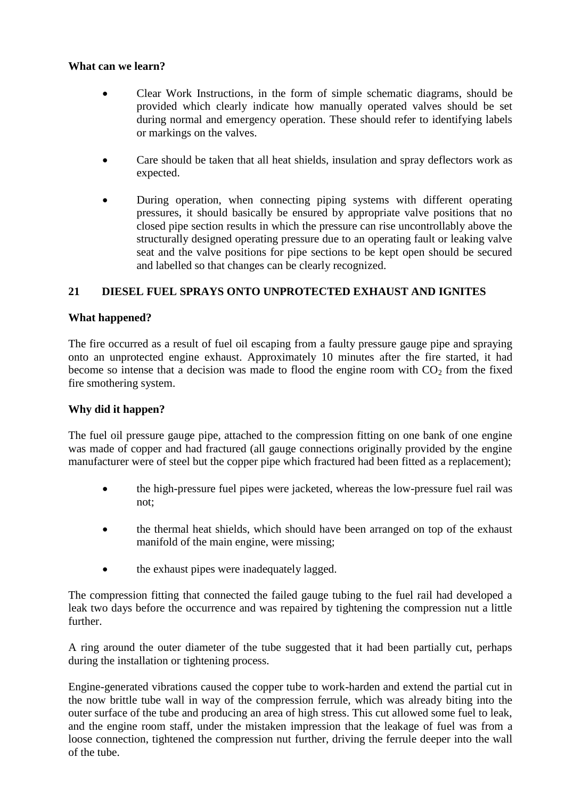- Clear Work Instructions, in the form of simple schematic diagrams, should be provided which clearly indicate how manually operated valves should be set during normal and emergency operation. These should refer to identifying labels or markings on the valves.
- Care should be taken that all heat shields, insulation and spray deflectors work as expected.
- During operation, when connecting piping systems with different operating pressures, it should basically be ensured by appropriate valve positions that no closed pipe section results in which the pressure can rise uncontrollably above the structurally designed operating pressure due to an operating fault or leaking valve seat and the valve positions for pipe sections to be kept open should be secured and labelled so that changes can be clearly recognized.

## **21 DIESEL FUEL SPRAYS ONTO UNPROTECTED EXHAUST AND IGNITES**

### **What happened?**

The fire occurred as a result of fuel oil escaping from a faulty pressure gauge pipe and spraying onto an unprotected engine exhaust. Approximately 10 minutes after the fire started, it had become so intense that a decision was made to flood the engine room with  $CO<sub>2</sub>$  from the fixed fire smothering system.

### **Why did it happen?**

The fuel oil pressure gauge pipe, attached to the compression fitting on one bank of one engine was made of copper and had fractured (all gauge connections originally provided by the engine manufacturer were of steel but the copper pipe which fractured had been fitted as a replacement);

- the high-pressure fuel pipes were jacketed, whereas the low-pressure fuel rail was not;
- the thermal heat shields, which should have been arranged on top of the exhaust manifold of the main engine, were missing;
- the exhaust pipes were inadequately lagged.

The compression fitting that connected the failed gauge tubing to the fuel rail had developed a leak two days before the occurrence and was repaired by tightening the compression nut a little further.

A ring around the outer diameter of the tube suggested that it had been partially cut, perhaps during the installation or tightening process.

Engine-generated vibrations caused the copper tube to work-harden and extend the partial cut in the now brittle tube wall in way of the compression ferrule, which was already biting into the outer surface of the tube and producing an area of high stress. This cut allowed some fuel to leak, and the engine room staff, under the mistaken impression that the leakage of fuel was from a loose connection, tightened the compression nut further, driving the ferrule deeper into the wall of the tube.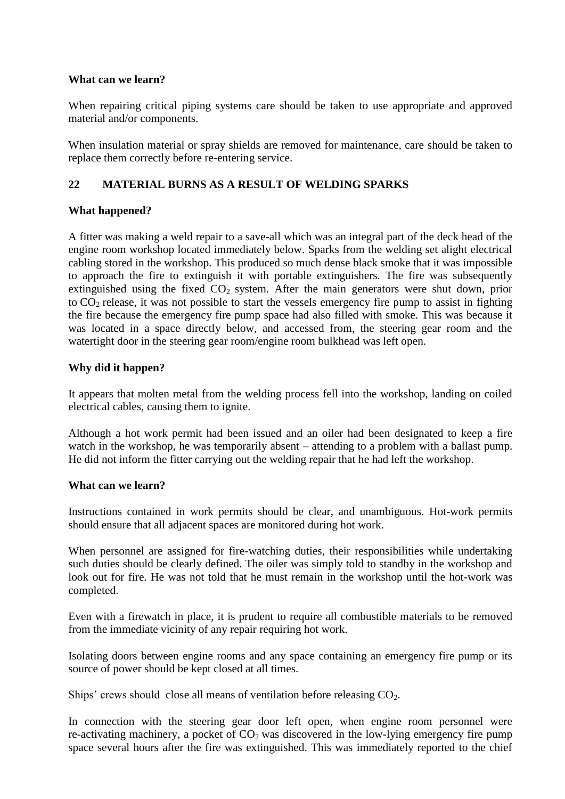When repairing critical piping systems care should be taken to use appropriate and approved material and/or components.

When insulation material or spray shields are removed for maintenance, care should be taken to replace them correctly before re-entering service.

## **22 MATERIAL BURNS AS A RESULT OF WELDING SPARKS**

### **What happened?**

A fitter was making a weld repair to a save-all which was an integral part of the deck head of the engine room workshop located immediately below. Sparks from the welding set alight electrical cabling stored in the workshop. This produced so much dense black smoke that it was impossible to approach the fire to extinguish it with portable extinguishers. The fire was subsequently extinguished using the fixed  $CO<sub>2</sub>$  system. After the main generators were shut down, prior to  $CO<sub>2</sub>$  release, it was not possible to start the vessels emergency fire pump to assist in fighting the fire because the emergency fire pump space had also filled with smoke. This was because it was located in a space directly below, and accessed from, the steering gear room and the watertight door in the steering gear room/engine room bulkhead was left open.

### **Why did it happen?**

It appears that molten metal from the welding process fell into the workshop, landing on coiled electrical cables, causing them to ignite.

Although a hot work permit had been issued and an oiler had been designated to keep a fire watch in the workshop, he was temporarily absent – attending to a problem with a ballast pump. He did not inform the fitter carrying out the welding repair that he had left the workshop.

### **What can we learn?**

Instructions contained in work permits should be clear, and unambiguous. Hot-work permits should ensure that all adjacent spaces are monitored during hot work.

When personnel are assigned for fire-watching duties, their responsibilities while undertaking such duties should be clearly defined. The oiler was simply told to standby in the workshop and look out for fire. He was not told that he must remain in the workshop until the hot-work was completed.

Even with a firewatch in place, it is prudent to require all combustible materials to be removed from the immediate vicinity of any repair requiring hot work.

Isolating doors between engine rooms and any space containing an emergency fire pump or its source of power should be kept closed at all times.

Ships' crews should close all means of ventilation before releasing  $CO<sub>2</sub>$ .

In connection with the steering gear door left open, when engine room personnel were re-activating machinery, a pocket of  $CO<sub>2</sub>$  was discovered in the low-lying emergency fire pump space several hours after the fire was extinguished. This was immediately reported to the chief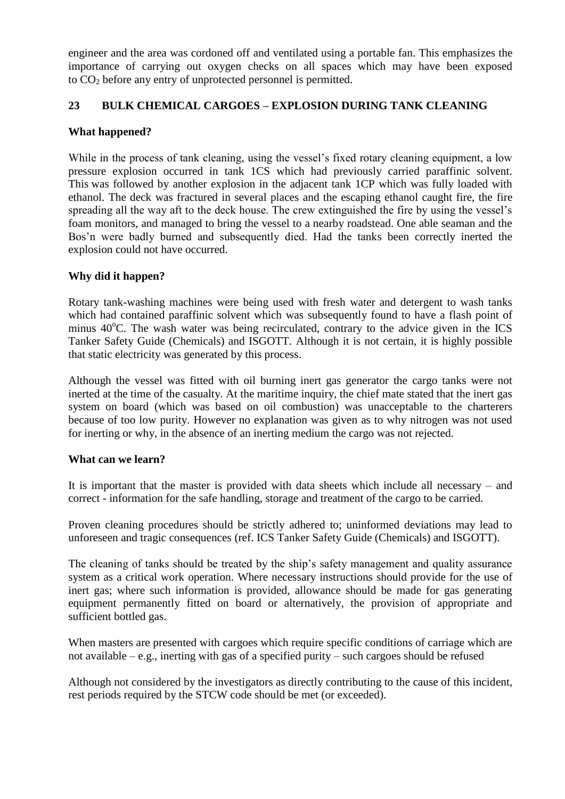engineer and the area was cordoned off and ventilated using a portable fan. This emphasizes the importance of carrying out oxygen checks on all spaces which may have been exposed to  $CO<sub>2</sub>$  before any entry of unprotected personnel is permitted.

### **23 BULK CHEMICAL CARGOES – EXPLOSION DURING TANK CLEANING**

### **What happened?**

While in the process of tank cleaning, using the vessel's fixed rotary cleaning equipment, a low pressure explosion occurred in tank 1CS which had previously carried paraffinic solvent. This was followed by another explosion in the adjacent tank 1CP which was fully loaded with ethanol. The deck was fractured in several places and the escaping ethanol caught fire, the fire spreading all the way aft to the deck house. The crew extinguished the fire by using the vessel"s foam monitors, and managed to bring the vessel to a nearby roadstead. One able seaman and the Bos'n were badly burned and subsequently died. Had the tanks been correctly inerted the explosion could not have occurred.

### **Why did it happen?**

Rotary tank-washing machines were being used with fresh water and detergent to wash tanks which had contained paraffinic solvent which was subsequently found to have a flash point of minus  $40^{\circ}$ C. The wash water was being recirculated, contrary to the advice given in the ICS Tanker Safety Guide (Chemicals) and ISGOTT. Although it is not certain, it is highly possible that static electricity was generated by this process.

Although the vessel was fitted with oil burning inert gas generator the cargo tanks were not inerted at the time of the casualty. At the maritime inquiry, the chief mate stated that the inert gas system on board (which was based on oil combustion) was unacceptable to the charterers because of too low purity. However no explanation was given as to why nitrogen was not used for inerting or why, in the absence of an inerting medium the cargo was not rejected.

### **What can we learn?**

It is important that the master is provided with data sheets which include all necessary – and correct - information for the safe handling, storage and treatment of the cargo to be carried.

Proven cleaning procedures should be strictly adhered to; uninformed deviations may lead to unforeseen and tragic consequences (ref. ICS Tanker Safety Guide (Chemicals) and ISGOTT).

The cleaning of tanks should be treated by the ship"s safety management and quality assurance system as a critical work operation. Where necessary instructions should provide for the use of inert gas; where such information is provided, allowance should be made for gas generating equipment permanently fitted on board or alternatively, the provision of appropriate and sufficient bottled gas.

When masters are presented with cargoes which require specific conditions of carriage which are not available – e.g., inerting with gas of a specified purity – such cargoes should be refused

Although not considered by the investigators as directly contributing to the cause of this incident, rest periods required by the STCW code should be met (or exceeded).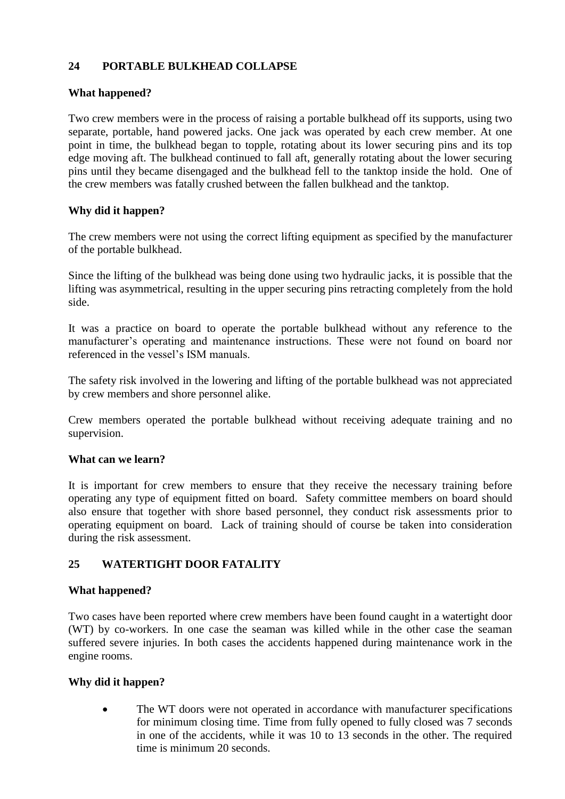# **24 PORTABLE BULKHEAD COLLAPSE**

### **What happened?**

Two crew members were in the process of raising a portable bulkhead off its supports, using two separate, portable, hand powered jacks. One jack was operated by each crew member. At one point in time, the bulkhead began to topple, rotating about its lower securing pins and its top edge moving aft. The bulkhead continued to fall aft, generally rotating about the lower securing pins until they became disengaged and the bulkhead fell to the tanktop inside the hold. One of the crew members was fatally crushed between the fallen bulkhead and the tanktop.

### **Why did it happen?**

The crew members were not using the correct lifting equipment as specified by the manufacturer of the portable bulkhead.

Since the lifting of the bulkhead was being done using two hydraulic jacks, it is possible that the lifting was asymmetrical, resulting in the upper securing pins retracting completely from the hold side.

It was a practice on board to operate the portable bulkhead without any reference to the manufacturer's operating and maintenance instructions. These were not found on board nor referenced in the vessel"s ISM manuals.

The safety risk involved in the lowering and lifting of the portable bulkhead was not appreciated by crew members and shore personnel alike.

Crew members operated the portable bulkhead without receiving adequate training and no supervision.

### **What can we learn?**

It is important for crew members to ensure that they receive the necessary training before operating any type of equipment fitted on board. Safety committee members on board should also ensure that together with shore based personnel, they conduct risk assessments prior to operating equipment on board. Lack of training should of course be taken into consideration during the risk assessment.

## **25 WATERTIGHT DOOR FATALITY**

### **What happened?**

Two cases have been reported where crew members have been found caught in a watertight door (WT) by co-workers. In one case the seaman was killed while in the other case the seaman suffered severe injuries. In both cases the accidents happened during maintenance work in the engine rooms.

### **Why did it happen?**

• The WT doors were not operated in accordance with manufacturer specifications for minimum closing time. Time from fully opened to fully closed was 7 seconds in one of the accidents, while it was 10 to 13 seconds in the other. The required time is minimum 20 seconds.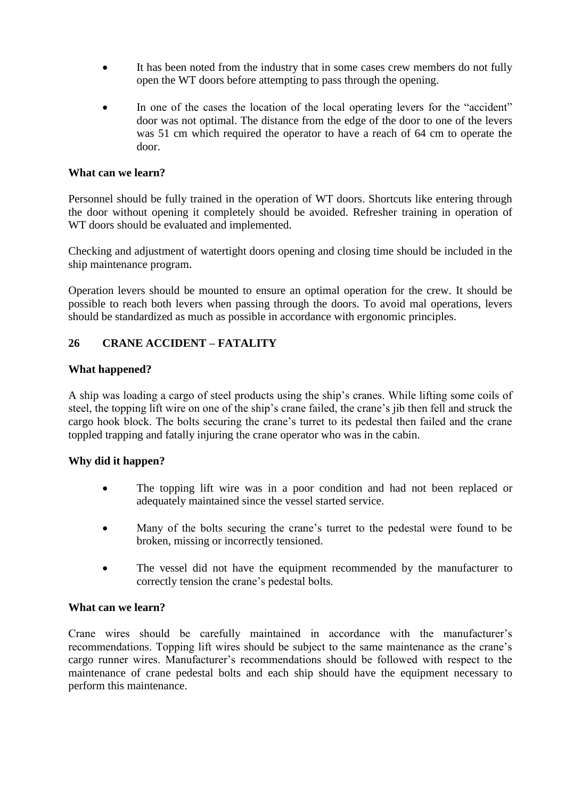- It has been noted from the industry that in some cases crew members do not fully open the WT doors before attempting to pass through the opening.
- In one of the cases the location of the local operating levers for the "accident" door was not optimal. The distance from the edge of the door to one of the levers was 51 cm which required the operator to have a reach of 64 cm to operate the door.

Personnel should be fully trained in the operation of WT doors. Shortcuts like entering through the door without opening it completely should be avoided. Refresher training in operation of WT doors should be evaluated and implemented.

Checking and adjustment of watertight doors opening and closing time should be included in the ship maintenance program.

Operation levers should be mounted to ensure an optimal operation for the crew. It should be possible to reach both levers when passing through the doors. To avoid mal operations, levers should be standardized as much as possible in accordance with ergonomic principles.

## **26 CRANE ACCIDENT – FATALITY**

### **What happened?**

A ship was loading a cargo of steel products using the ship"s cranes. While lifting some coils of steel, the topping lift wire on one of the ship"s crane failed, the crane"s jib then fell and struck the cargo hook block. The bolts securing the crane"s turret to its pedestal then failed and the crane toppled trapping and fatally injuring the crane operator who was in the cabin.

## **Why did it happen?**

- The topping lift wire was in a poor condition and had not been replaced or adequately maintained since the vessel started service.
- Many of the bolts securing the crane's turret to the pedestal were found to be broken, missing or incorrectly tensioned.
- The vessel did not have the equipment recommended by the manufacturer to correctly tension the crane"s pedestal bolts.

### **What can we learn?**

Crane wires should be carefully maintained in accordance with the manufacturer"s recommendations. Topping lift wires should be subject to the same maintenance as the crane"s cargo runner wires. Manufacturer"s recommendations should be followed with respect to the maintenance of crane pedestal bolts and each ship should have the equipment necessary to perform this maintenance.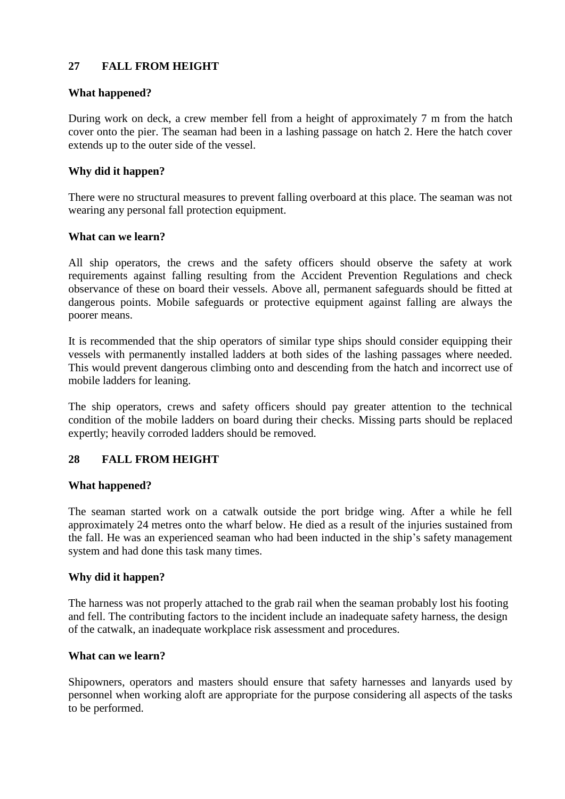## **27 FALL FROM HEIGHT**

### **What happened?**

During work on deck, a crew member fell from a height of approximately 7 m from the hatch cover onto the pier. The seaman had been in a lashing passage on hatch 2. Here the hatch cover extends up to the outer side of the vessel.

### **Why did it happen?**

There were no structural measures to prevent falling overboard at this place. The seaman was not wearing any personal fall protection equipment.

### **What can we learn?**

All ship operators, the crews and the safety officers should observe the safety at work requirements against falling resulting from the Accident Prevention Regulations and check observance of these on board their vessels. Above all, permanent safeguards should be fitted at dangerous points. Mobile safeguards or protective equipment against falling are always the poorer means.

It is recommended that the ship operators of similar type ships should consider equipping their vessels with permanently installed ladders at both sides of the lashing passages where needed. This would prevent dangerous climbing onto and descending from the hatch and incorrect use of mobile ladders for leaning.

The ship operators, crews and safety officers should pay greater attention to the technical condition of the mobile ladders on board during their checks. Missing parts should be replaced expertly; heavily corroded ladders should be removed.

## **28 FALL FROM HEIGHT**

### **What happened?**

The seaman started work on a catwalk outside the port bridge wing. After a while he fell approximately 24 metres onto the wharf below. He died as a result of the injuries sustained from the fall. He was an experienced seaman who had been inducted in the ship"s safety management system and had done this task many times.

## **Why did it happen?**

The harness was not properly attached to the grab rail when the seaman probably lost his footing and fell. The contributing factors to the incident include an inadequate safety harness, the design of the catwalk, an inadequate workplace risk assessment and procedures.

### **What can we learn?**

Shipowners, operators and masters should ensure that safety harnesses and lanyards used by personnel when working aloft are appropriate for the purpose considering all aspects of the tasks to be performed.